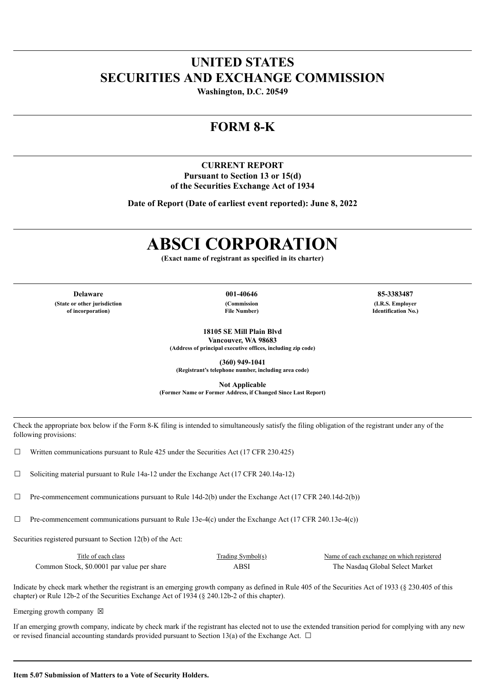## **UNITED STATES SECURITIES AND EXCHANGE COMMISSION**

**Washington, D.C. 20549**

## **FORM 8-K**

### **CURRENT REPORT Pursuant to Section 13 or 15(d) of the Securities Exchange Act of 1934**

**Date of Report (Date of earliest event reported): June 8, 2022**

# **ABSCI CORPORATION**

**(Exact name of registrant as specified in its charter)**

**Delaware 001-40646 85-3383487 (State or other jurisdiction of incorporation)**

**(Commission File Number)**

**(I.R.S. Employer Identification No.)**

**18105 SE Mill Plain Blvd Vancouver, WA 98683 (Address of principal executive offices, including zip code)**

**(360) 949-1041**

**(Registrant's telephone number, including area code)**

**Not Applicable**

**(Former Name or Former Address, if Changed Since Last Report)**

Check the appropriate box below if the Form 8-K filing is intended to simultaneously satisfy the filing obligation of the registrant under any of the following provisions:

 $\Box$  Written communications pursuant to Rule 425 under the Securities Act (17 CFR 230.425)

☐ Soliciting material pursuant to Rule 14a-12 under the Exchange Act (17 CFR 240.14a-12)

 $\Box$  Pre-commencement communications pursuant to Rule 14d-2(b) under the Exchange Act (17 CFR 240.14d-2(b))

 $\Box$  Pre-commencement communications pursuant to Rule 13e-4(c) under the Exchange Act (17 CFR 240.13e-4(c))

Securities registered pursuant to Section 12(b) of the Act:

| Title of each class                        | Trading Symbol(s) | Name of each exchange on which registered |
|--------------------------------------------|-------------------|-------------------------------------------|
| Common Stock, \$0,0001 par value per share | ABSI              | The Nasdag Global Select Market           |

Indicate by check mark whether the registrant is an emerging growth company as defined in Rule 405 of the Securities Act of 1933 (§ 230.405 of this chapter) or Rule 12b-2 of the Securities Exchange Act of 1934 (§ 240.12b-2 of this chapter).

Emerging growth company  $\boxtimes$ 

If an emerging growth company, indicate by check mark if the registrant has elected not to use the extended transition period for complying with any new or revised financial accounting standards provided pursuant to Section 13(a) of the Exchange Act.  $\Box$